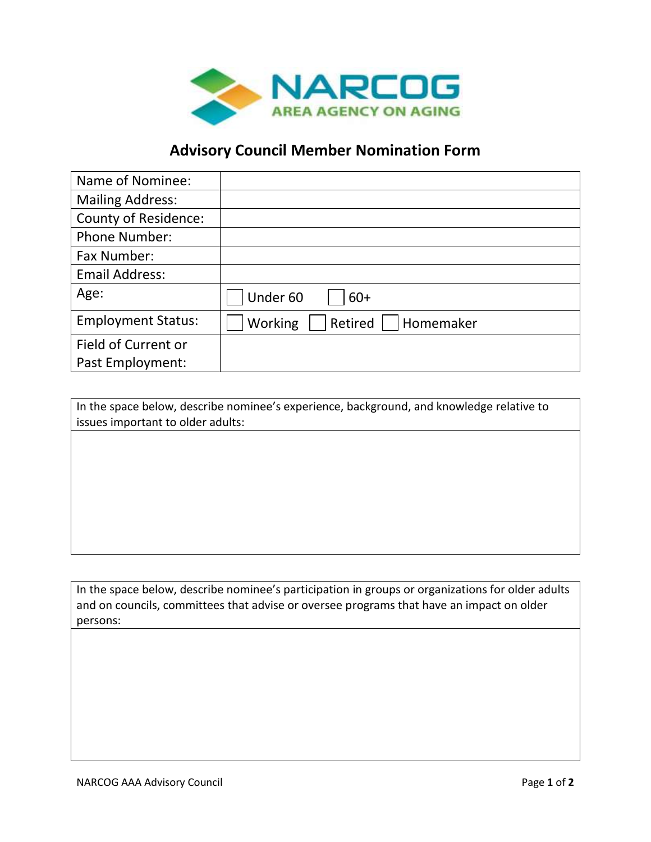

## **Advisory Council Member Nomination Form**

| Name of Nominee:            |                                 |
|-----------------------------|---------------------------------|
| <b>Mailing Address:</b>     |                                 |
| <b>County of Residence:</b> |                                 |
| <b>Phone Number:</b>        |                                 |
| Fax Number:                 |                                 |
| <b>Email Address:</b>       |                                 |
| Age:                        | Under 60<br>$60+$               |
| <b>Employment Status:</b>   | Working<br>Retired<br>Homemaker |
| Field of Current or         |                                 |
| Past Employment:            |                                 |

| In the space below, describe nominee's experience, background, and knowledge relative to |
|------------------------------------------------------------------------------------------|
| issues important to older adults:                                                        |
|                                                                                          |
|                                                                                          |
|                                                                                          |
|                                                                                          |
|                                                                                          |
|                                                                                          |
|                                                                                          |
|                                                                                          |
|                                                                                          |
|                                                                                          |

In the space below, describe nominee's participation in groups or organizations for older adults and on councils, committees that advise or oversee programs that have an impact on older persons: